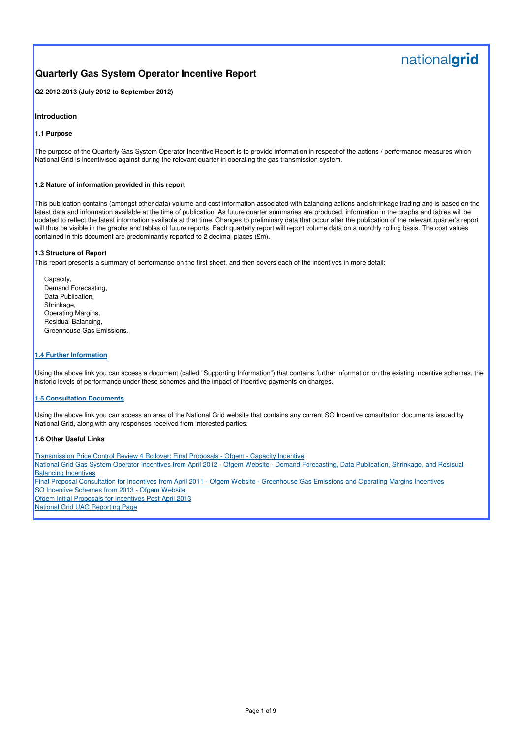# nationalgrid

# **Quarterly Gas System Operator Incentive Report**

**Q2 2012-2013 (July 2012 to September 2012)**

## **Introduction**

### **1.1 Purpose**

The purpose of the Quarterly Gas System Operator Incentive Report is to provide information in respect of the actions / performance measures which National Grid is incentivised against during the relevant quarter in operating the gas transmission system.

### **1.2 Nature of information provided in this report**

This publication contains (amongst other data) volume and cost information associated with balancing actions and shrinkage trading and is based on the latest data and information available at the time of publication. As future quarter summaries are produced, information in the graphs and tables will be updated to reflect the latest information available at that time. Changes to preliminary data that occur after the publication of the relevant quarter's report will thus be visible in the graphs and tables of future reports. Each quarterly report will report volume data on a monthly rolling basis. The cost values contained in this document are predominantly reported to 2 decimal places (£m).

National Grid Gas System Operator Incentives from April 2012 - Ofgem Website - Demand Forecasting, Data Publication, Shrinkage, and Resisual Balancing Incentives

## **1.3 Structure of Report**

This report presents a summary of performance on the first sheet, and then covers each of the incentives in more detail:

 Capacity, Demand Forecasting, Data Publication, Shrinkage, Operating Margins, Residual Balancing, Greenhouse Gas Emissions.

### **1.4 Further Information**

Using the above link you can access a document (called "Supporting Information") that contains further information on the existing incentive schemes, the historic levels of performance under these schemes and the impact of incentive payments on charges.

### **1.5 Consultation Documents**

Using the above link you can access an area of the National Grid website that contains any current SO Incentive consultation documents issued by National Grid, along with any responses received from interested parties.

### **1.6 Other Useful Links**

Transmission Price Control Review 4 Rollover: Final Proposals - Ofgem - Capacity Incentive

Final Proposal Consultation for Incentives from April 2011 - Ofgem Website - Greenhouse Gas Emissions and Operating Margins Incentives

SO Incentive Schemes from 2013 - Ofgem Website

Ofgem Initial Proposals for Incentives Post April 2013

National Grid UAG Reporting Page

Page 1 of 9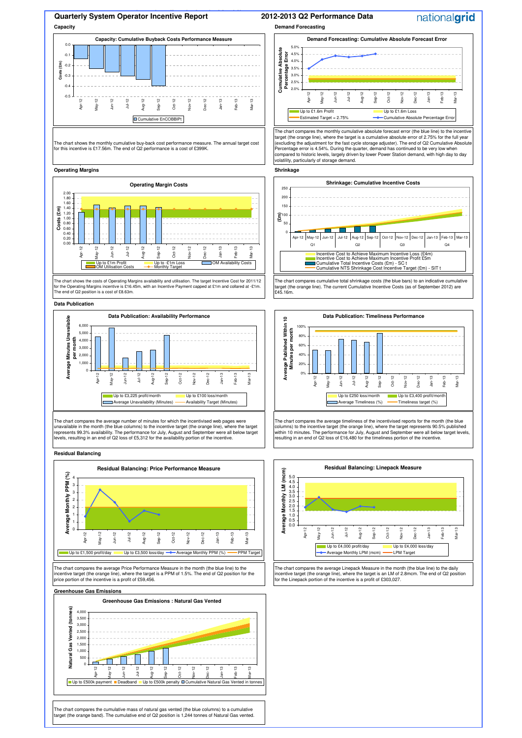**2011-2012 Q1 Performance Data**

## **Quarterly System Operator Incentive Report Capacity Demand Forecasting**

### 1 **Operating Margins Shrinkage**

### **Data Publication**

### **Greenhouse Gas Emissions**

The chart compares the average number of minutes for which the incentivised web pages were unavailable in the month (the blue columns) to the incentive target (the orange line), where the target represents 99.3% availability. The performance for July, August and September were all below target evels, resulting in an end of Q2 loss of £5,312 for the availability portion of the incentive

The chart compares the cumulative mass of natural gas vented (the blue columns) to a cumulative target (the orange band). The cumulative end of Q2 position is 1,244 tonnes of Natural Gas vented.

The chart compares the average timeliness of the incentivised reports for the month (the blue columns) to the incentive target (the orange line), where the target represents 90.5% published within 10 minutes. The performance for July, August and September were all below target levels, resulting in an end of Q2 loss of £16,480 for the timeliness portion of the incentive.

The chart compares the average Price Performance Measure in the month (the blue line) to the incentive target (the orange line), where the target is a PPM of 1.5%. The end of Q2 position for the price portion of the incentive is a profit of £59,456.

### **Capacity: Cumulative Buyback Costs Performance Measure** -0.5  $-0.4$ -0.3  $-0.2$  $-0.1$  $0.0$ Apr-May-12 Jun-12 Jul-12 Aug-12 Sep-12 Oct-12 Nov-12 Dec-12 Jan-13 Feb-13 Mar-13 **Costs (£m)** Cumulative EnCOBBIPt

The chart compares the average Linepack Measure in the month (the blue line) to the daily incentive target (the orange line), where the target is an LM of 2.8mcm. The end of Q2 position for the Linepack portion of the incentive is a profit of £303,027.

### **2012-2013 Q2 Performance Data**

The chart shows the costs of Operating Margins availability and utilisation. The target Incentive Cost for 2011/12 for the Operating Margins incentive is £16.45m, with an Incentive Payment capped at £1m and collared at -£1m. The end of Q2 position is a cost of £8.63m.

The chart compares the monthly cumulative absolute forecast error (the blue line) to the incentive target (the orange line), where the target is a cumulative absolute error of 2.75% for the full year (excluding the adjustment for the fast cycle storage adjuster). The end of Q2 Cumulative Absolute Percentage error is 4.54%. During the quarter, demand has continued to be very low when compared to historic levels, largely driven by lower Power Station demand, with high day to day volatility, particularly of storage demand.

**Residual Balancing**



The chart compares cumulative total shrinkage costs (the blue bars) to an indicative cumulative target (the orange line). The current Cumulative Incentive Costs (as of September 2012) are £45.16m.

The chart shows the monthly cumulative buy-back cost performance measure. The annual target cost for this incentive is £17.56m. The end of Q2 performance is a cost of £399K.









# nationalgrid





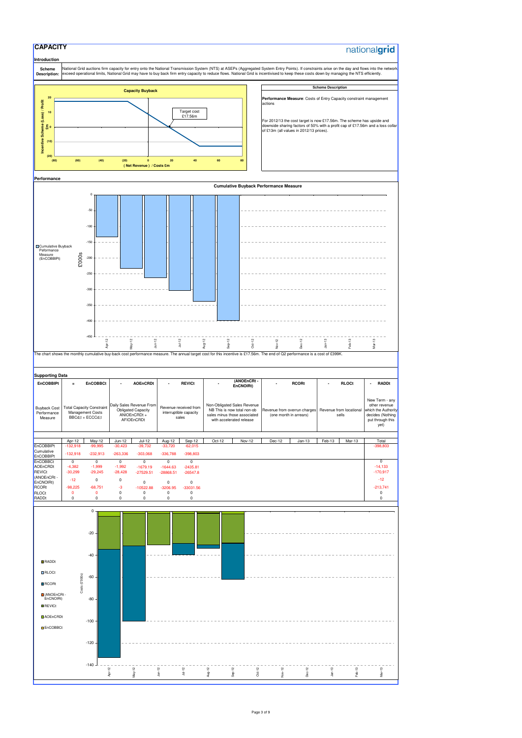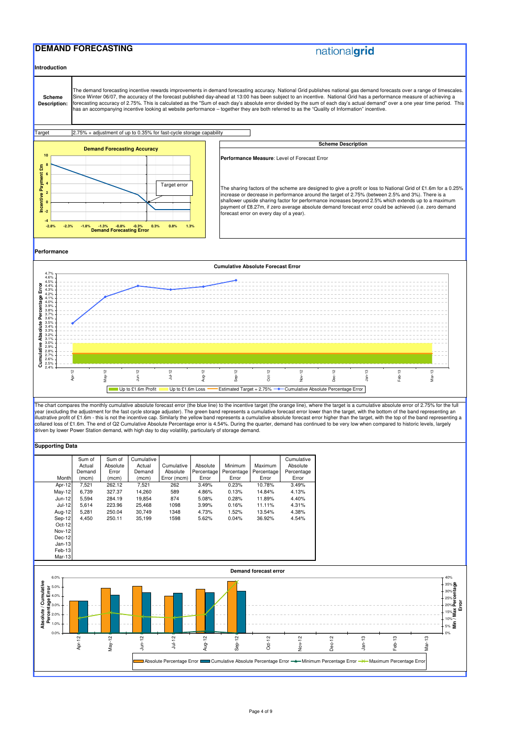## **DEMAND FORECASTING**

# nationalgrid

**Supporting Data**

|          | Sum of<br>Actual | Sum of<br>Absolute | Cumulative<br>Actual | Cumulative  | Absolute   | Minimum    | <b>Maximum</b> | Cumulative<br>Absolute |
|----------|------------------|--------------------|----------------------|-------------|------------|------------|----------------|------------------------|
|          | Demand           | Error              | Demand               | Absolute    | Percentage | Percentage | Percentage     | Percentage             |
| Monthl   | (mcm)            | (mcm)              | (mcm)                | Error (mcm) | Error      | Error      | Error          | Error                  |
| Apr-12   | 7.521            | 262.12             | 7,521                | 262         | 3.49%      | 0.23%      | 10.78%         | 3.49%                  |
| $May-12$ | 6.739            | 327.37             | 14.260               | 589         | 4.86%      | 0.13%      | 14.84%         | 4.13%                  |
| Jun-12   | 5.594            | 284.19             | 19,854               | 874         | 5.08%      | 0.28%      | 11.89%         | 4.40%                  |
| Jul-12   | 5.614            | 223.96             | 25,468               | 1098        | 3.99%      | 0.16%      | 11.11%         | 4.31%                  |
| Aug-12   | 5.281            | 250.04             | 30.749               | 1348        | 4.73%      | 1.52%      | 13.54%         | 4.38%                  |
| Sep-12   | 4.450            | 250.11             | 35,199               | 1598        | 5.62%      | 0.04%      | 36.92%         | 4.54%                  |
| $Oct-12$ |                  |                    |                      |             |            |            |                |                        |
| Nov-12   |                  |                    |                      |             |            |            |                |                        |
| Dec-12   |                  |                    |                      |             |            |            |                |                        |
| $Jan-13$ |                  |                    |                      |             |            |            |                |                        |
|          |                  |                    |                      |             |            |            |                |                        |

The chart compares the monthly cumulative absolute forecast error (the blue line) to the incentive target (the orange line), where the target is a cumulative absolute error of 2.75% for the full year (excluding the adjustment for the fast cycle storage adjuster). The green band represents a cumulative forecast error lower than the target, with the bottom of the band representing an illustrative profit of £1.6m - this is not the incentive cap. Similarly the yellow band represents a cumulative absolute forecast error higher than the target, with the top of the band representing a collared loss of £1.6m. The end of Q2 Cumulative Absolute Percentage error is 4.54%. During the quarter, demand has continued to be very low when compared to historic levels, largely driven by lower Power Station demand, with high day to day volatility, particularly of storage demand.

**Introduction Scheme Description: Target Performance Performance Measure**: Level of Forecast Error The sharing factors of the scheme are designed to give a profit or loss to National Grid of £1.6m for a 0.25% increase or decrease in performance around the target of 2.75% (between 2.5% and 3%). There is a shallower upside sharing factor for performance increases beyond 2.5% which extends up to a maximum payment of £8.27m, if zero average absolute demand forecast error could be achieved (i.e. zero demand forecast error on every day of a year). The demand forecasting incentive rewards improvements in demand forecasting accuracy. National Grid publishes national gas demand forecasts over a range of timescales. Since Winter 06/07, the accuracy of the forecast published day-ahead at 13:00 has been subject to an incentive. National Grid has a performance measure of achieving a forecasting accuracy of 2.75%. This is calculated as the "Sum of each day's absolute error divided by the sum of each day's actual demand" over a one year time period. This has an accompanying incentive looking at website performance – together they are both referred to as the "Quality of Information" incentive. **Scheme Description** 2.75% + adjustment of up to 0.35% for fast-cycle storage capability **Demand Forecasting Accuracy -4 -2 0 2 4 6 8 10 -2.8% -2.3% -1.8% -1.3% -0.8% -0.3% 0.3% 0.8% 1.3% Demand Forecasting Error Incentive Payment £m** Target error



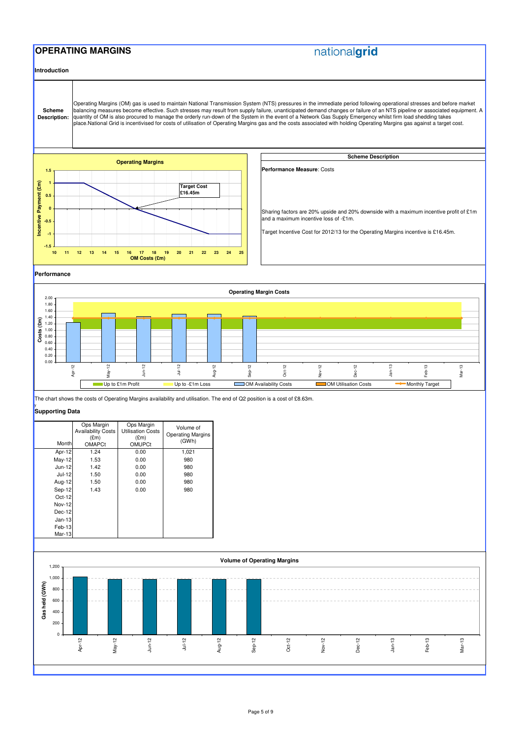## **OPERATING MARGINS**

# nationalgrid

**Introduction**

### y **Supporting Data**



| Month         | Ops Margin<br><b>Availability Costs</b><br>E(m)<br><b>OMAPCt</b> | Ops Margin<br><b>Utilisation Costs</b><br>E(m)<br><b>OMUPCt</b> | Volume of<br><b>Operating Margins</b><br>(GWh) |
|---------------|------------------------------------------------------------------|-----------------------------------------------------------------|------------------------------------------------|
| Apr-12        | 1.24                                                             | 0.00                                                            | 1,021                                          |
| May-12        | 1.53                                                             | 0.00                                                            | 980                                            |
| Jun-12        | 1.42                                                             | 0.00                                                            | 980                                            |
| Jul-12        | 1.50                                                             | 0.00                                                            | 980                                            |
| Aug-12        | 1.50                                                             | 0.00                                                            | 980                                            |
| Sep-12        | 1.43                                                             | 0.00                                                            | 980                                            |
| $Oct-12$      |                                                                  |                                                                 |                                                |
| <b>Nov-12</b> |                                                                  |                                                                 |                                                |
| Dec-12        |                                                                  |                                                                 |                                                |
| $Jan-13$      |                                                                  |                                                                 |                                                |
| Feb-13        |                                                                  |                                                                 |                                                |
| Mar-13        |                                                                  |                                                                 |                                                |
|               |                                                                  |                                                                 |                                                |

The chart shows the costs of Operating Margins availability and utilisation. The end of Q2 position is a cost of £8.63m.



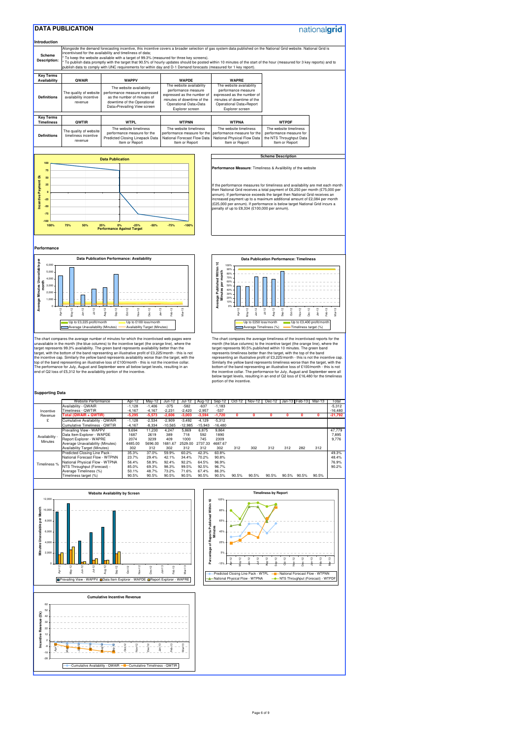### **Supporting Data**

|                                       | Website Performance                        |                      |                      |                    |                             |                    |                    |        |        |        |       |                   |        |           |
|---------------------------------------|--------------------------------------------|----------------------|----------------------|--------------------|-----------------------------|--------------------|--------------------|--------|--------|--------|-------|-------------------|--------|-----------|
|                                       |                                            | Apr-12               | May-12               | Jun-12             | Jul-12                      | Aug-12             | Sep-12             | Oct-12 | Nov-12 | Dec-12 |       | Jan-13 I Feb-13 I | Mar-13 | Total     |
|                                       | Availability - QWAIR<br>Timeliness - QWTIR | $-1,128$<br>$-4,167$ | $-1,406$<br>$-4,167$ | $-375$<br>$-2,231$ | $-582$<br>$-2,420$          | $-637$<br>$-2,957$ | $-1,183$<br>$-537$ |        |        |        |       |                   |        | $-5,312$  |
| Incentive                             | Total (QWAIR + QWTIR)                      |                      |                      |                    |                             |                    |                    | 0      |        |        | n     |                   |        | $-16,480$ |
| Revenue                               |                                            | $-5,295$             | $-5,573$             | $-2,606$           | $-3,003$                    | $-3,594$           | $-1,720$           |        | 0      |        |       |                   | 0      | $-21,792$ |
| £                                     | Cumulative Availability - QWAIR            | $-1,128$             | $-2,534$             | $-2,909$           | $-3,492$                    | $-4,129$           | $-5,312$           |        |        |        |       |                   |        |           |
|                                       | <b>Cumulative Timeliness - QWTIR</b>       | $-4,167$             | $-8,334$             | $-10,565$          | $-12,985$                   | $-15,943$          | $-16,480$          |        |        |        |       |                   |        |           |
|                                       | Prevailing View - WAPPV                    | 9,694                | 11,230               | 4,247              | 5,869                       | 6,875              | 9,864              |        |        |        |       |                   |        | 47,779    |
| Availability -                        | Data Item Explorer - WAPDE                 | 1687                 | 2619                 | 389                | 718                         | 592                | 1890               |        |        |        |       |                   |        | 7,895     |
| Minutes                               | Report Explorer - WAPRE                    | 2074                 | 3239                 | 409                | 1000                        | 745                | 2309               |        |        |        |       |                   |        | 9,776     |
|                                       | Average Unavailability (Minutes)           | 4485.00              | 5696.00              | 1681.67            | 2529.00                     | 2737.33            | 4687.67            |        |        |        |       |                   |        |           |
|                                       | <b>Availability Target (Minutes)</b>       | 302                  | 312                  | 302                | 312                         | 312                | 302                | 312    | 302    | 312    | 312   | 282               | 312    |           |
|                                       | Predicted Closing Line Pack -              | 35.3%                | 37.0%                | 59.9%              | 60.2%                       | 42.3%              | 60.8%              |        |        |        |       |                   |        | 49.3%     |
|                                       | National Forecast Flow - WTPNN             | 23.7%                | 29.4%                | 42.1%              | 34.4%                       | 70.2%              | 90.8%              |        |        |        |       |                   |        | 48.4%     |
| Timeliness %                          | National Physical Flow - WTPNA             | 56.4%                | 58.9%                | 92.4%              | 92.2%                       | 64.5%              | 96.9%              |        |        |        |       |                   |        | 76.9%     |
|                                       | NTS Throughput (Forecast) -                | 85.0%                | 69.3%                | 98.3%              | 99.5%                       | 92.5%              | 96.7%              |        |        |        |       |                   |        | 90.2%     |
|                                       | Average Timeliness (%)                     | 50.1%                | 48.7%                | 73.2%              | 71.6%                       | 67.4%              | 86.3%              |        |        |        |       |                   |        |           |
|                                       | Timeliness target (%)                      | 90.5%                | 90.5%                | 90.5%              | 90.5%                       | 90.5%              | 90.5%              | 90.5%  | 90.5%  | 90.5%  | 90.5% | 90.5%             | 90.5%  |           |
|                                       |                                            |                      |                      |                    |                             |                    |                    |        |        |        |       |                   |        |           |
|                                       |                                            |                      |                      |                    |                             |                    |                    |        |        |        |       |                   |        |           |
| <b>Website Availability by Screen</b> |                                            |                      |                      |                    | <b>Timeliness by Report</b> |                    |                    |        |        |        |       |                   |        |           |
| 12,000                                |                                            |                      |                      |                    | 105% -                      |                    |                    |        |        |        |       |                   |        |           |
| £<br>10,000                           |                                            |                      |                      | ithin 10           |                             |                    |                    |        |        |        |       |                   |        |           |



The chart compares the average number of minutes for which the incentivised web pages were unavailable in the month (the blue columns) to the incentive target (the orange line), where the target represents 99.3% availability. The green band represents availability better than the target, with the bottom of the band representing an illustrative profit of £3,225/month - this is not the incentive cap. Similarly the yellow band represents availability worse than the target, with the top of the band representing an illustrative loss of £100/month - this is not the incentive collar. The performance for July, August and September were all below target levels, resulting in an end of Q2 loss of £5,312 for the availability portion of the incentive.

The chart compares the average timeliness of the incentivised reports for the month (the blue columns) to the incentive target (the orange line), where the target represents 90.5% published within 10 minutes. The green band represents timeliness better than the target, with the top of the band representing an illustrative profit of £3,225/month - this is not the incentive cap. Similarly the yellow band represents timeliness worse than the target, with the bottom of the band representing an illustrative loss of £100/month - this is not the incentive collar. The performance for July, August and September were all below target levels, resulting in an end of Q2 loss of £16,480 for the timeliness portion of the incentive.





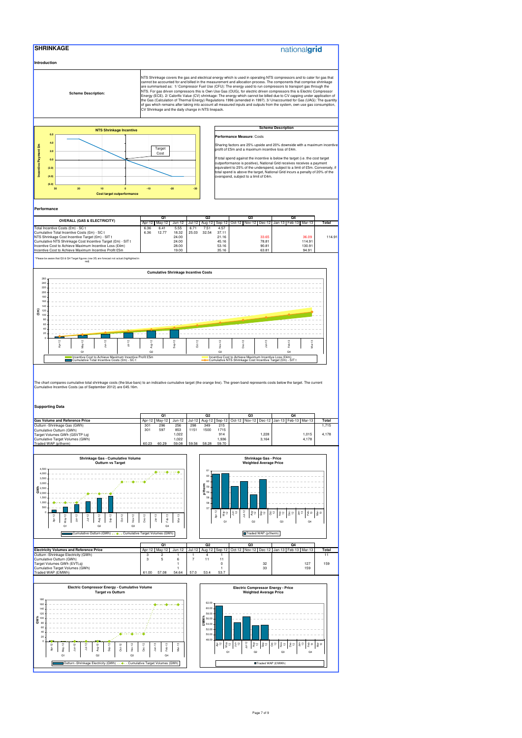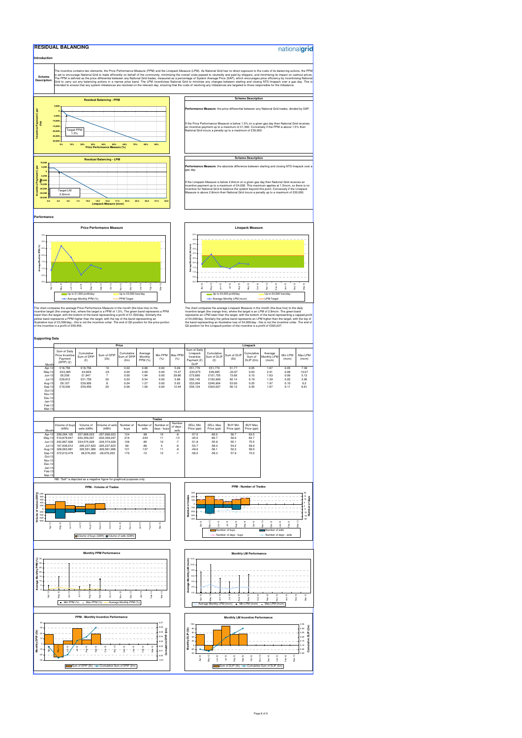